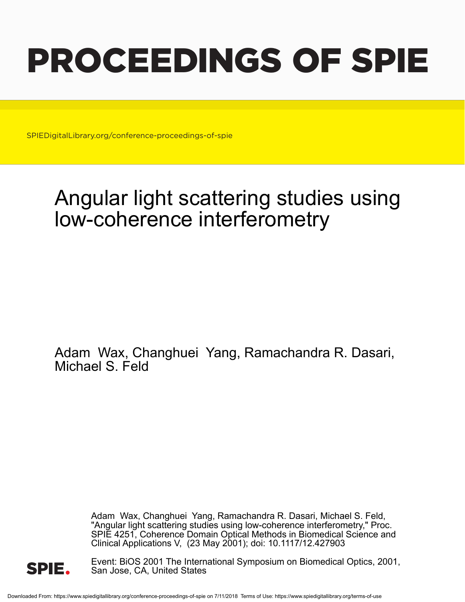# PROCEEDINGS OF SPIE

SPIEDigitalLibrary.org/conference-proceedings-of-spie

## Angular light scattering studies using low-coherence interferometry

Adam Wax, Changhuei Yang, Ramachandra R. Dasari, Michael S. Feld

> Adam Wax, Changhuei Yang, Ramachandra R. Dasari, Michael S. Feld, "Angular light scattering studies using low-coherence interferometry," Proc. SPIE 4251, Coherence Domain Optical Methods in Biomedical Science and Clinical Applications V, (23 May 2001); doi: 10.1117/12.427903



Event: BiOS 2001 The International Symposium on Biomedical Optics, 2001, San Jose, CA, United States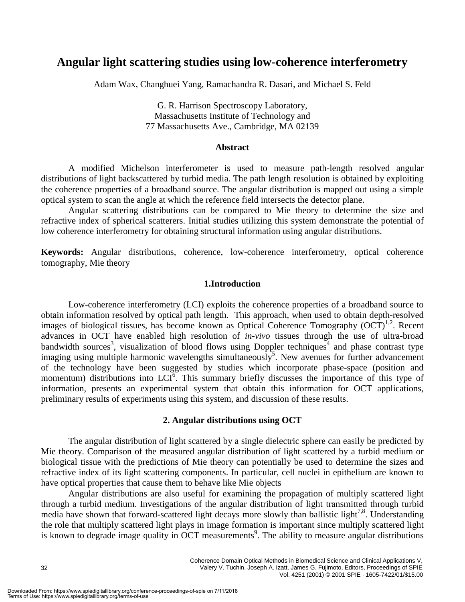### **Angular light scattering studies using low-coherence interferometry**

Adam Wax, Changhuei Yang, Ramachandra R. Dasari, and Michael S. Feld

G. R. Harrison Spectroscopy Laboratory, Massachusetts Institute of Technology and 77 Massachusetts Ave., Cambridge, MA 02139

#### **Abstract**

A modified Michelson interferometer is used to measure path-length resolved angular distributions of light backscattered by turbid media. The path length resolution is obtained by exploiting the coherence properties of a broadband source. The angular distribution is mapped out using a simple optical system to scan the angle at which the reference field intersects the detector plane.

Angular scattering distributions can be compared to Mie theory to determine the size and refractive index of spherical scatterers. Initial studies utilizing this system demonstrate the potential of low coherence interferometry for obtaining structural information using angular distributions.

**Keywords:** Angular distributions, coherence, low-coherence interferometry, optical coherence tomography, Mie theory

#### **1.Introduction**

Low-coherence interferometry (LCI) exploits the coherence properties of a broadband source to obtain information resolved by optical path length. This approach, when used to obtain depth-resolved images of biological tissues, has become known as Optical Coherence Tomography  $(OCT)^{1,2}$ . Recent advances in OCT have enabled high resolution of *in-vivo* tissues through the use of ultra-broad bandwidth sources<sup>3</sup>, visualization of blood flows using Doppler techniques<sup>4</sup> and phase contrast type imaging using multiple harmonic wavelengths simultaneously<sup>5</sup>. New avenues for further advancement of the technology have been suggested by studies which incorporate phase-space (position and momentum) distributions into  $LCI^6$ . This summary briefly discusses the importance of this type of information, presents an experimental system that obtain this information for OCT applications, preliminary results of experiments using this system, and discussion of these results.

#### **2. Angular distributions using OCT**

The angular distribution of light scattered by a single dielectric sphere can easily be predicted by Mie theory. Comparison of the measured angular distribution of light scattered by a turbid medium or biological tissue with the predictions of Mie theory can potentially be used to determine the sizes and refractive index of its light scattering components. In particular, cell nuclei in epithelium are known to have optical properties that cause them to behave like Mie objects

Angular distributions are also useful for examining the propagation of multiply scattered light through a turbid medium. Investigations of the angular distribution of light transmitted through turbid media have shown that forward-scattered light decays more slowly than ballistic light<sup>7,8</sup>. Understanding the role that multiply scattered light plays in image formation is important since multiply scattered light is known to degrade image quality in OCT measurements<sup>9</sup>. The ability to measure angular distributions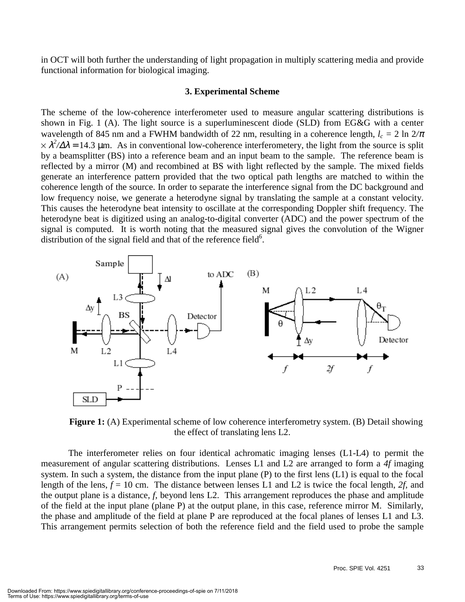in OCT will both further the understanding of light propagation in multiply scattering media and provide functional information for biological imaging.

#### **3. Experimental Scheme**

The scheme of the low-coherence interferometer used to measure angular scattering distributions is shown in Fig. 1 (A). The light source is a superluminescent diode (SLD) from EG&G with a center wavelength of 845 nm and a FWHM bandwidth of 22 nm, resulting in a coherence length,  $l_c = 2 \ln 2/\pi$  $\times \lambda^2/\Delta\lambda = 14.3$  µm. As in conventional low-coherence interferometery, the light from the source is split by a beamsplitter (BS) into a reference beam and an input beam to the sample. The reference beam is reflected by a mirror (M) and recombined at BS with light reflected by the sample. The mixed fields generate an interference pattern provided that the two optical path lengths are matched to within the coherence length of the source. In order to separate the interference signal from the DC background and low frequency noise, we generate a heterodyne signal by translating the sample at a constant velocity. This causes the heterodyne beat intensity to oscillate at the corresponding Doppler shift frequency. The heterodyne beat is digitized using an analog-to-digital converter (ADC) and the power spectrum of the signal is computed. It is worth noting that the measured signal gives the convolution of the Wigner distribution of the signal field and that of the reference field $6$ .



**Figure 1:** (A) Experimental scheme of low coherence interferometry system. (B) Detail showing the effect of translating lens L2.

The interferometer relies on four identical achromatic imaging lenses (L1-L4) to permit the measurement of angular scattering distributions. Lenses L1 and L2 are arranged to form a *4f* imaging system. In such a system, the distance from the input plane (P) to the first lens (L1) is equal to the focal length of the lens,  $f = 10$  cm. The distance between lenses L1 and L2 is twice the focal length, 2f, and the output plane is a distance, *f*, beyond lens L2. This arrangement reproduces the phase and amplitude of the field at the input plane (plane P) at the output plane, in this case, reference mirror M. Similarly, the phase and amplitude of the field at plane P are reproduced at the focal planes of lenses L1 and L3. This arrangement permits selection of both the reference field and the field used to probe the sample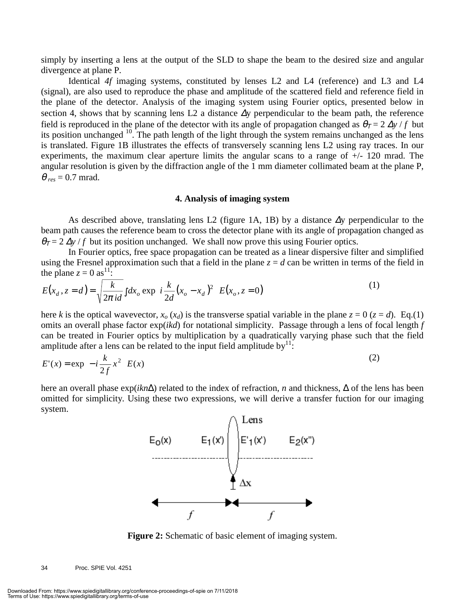simply by inserting a lens at the output of the SLD to shape the beam to the desired size and angular divergence at plane P.

Identical *4f* imaging systems, constituted by lenses L2 and L4 (reference) and L3 and L4 (signal), are also used to reproduce the phase and amplitude of the scattered field and reference field in the plane of the detector. Analysis of the imaging system using Fourier optics, presented below in section 4, shows that by scanning lens L2 a distance  $\Delta y$  perpendicular to the beam path, the reference field is reproduced in the plane of the detector with its angle of propagation changed as  $\theta_T = 2 \Delta y / f$  but its position unchanged 10. The path length of the light through the system remains unchanged as the lens is translated. Figure 1B illustrates the effects of transversely scanning lens L2 using ray traces. In our experiments, the maximum clear aperture limits the angular scans to a range of  $+/-120$  mrad. The angular resolution is given by the diffraction angle of the 1 mm diameter collimated beam at the plane P,  $\theta_{res} = 0.7$  mrad.

#### **4. Analysis of imaging system**

As described above, translating lens L2 (figure 1A, 1B) by a distance ∆y perpendicular to the beam path causes the reference beam to cross the detector plane with its angle of propagation changed as  $\theta_T = 2 \Delta y / f$  but its position unchanged. We shall now prove this using Fourier optics.

In Fourier optics, free space propagation can be treated as a linear dispersive filter and simplified using the Fresnel approximation such that a field in the plane  $z = d$  can be written in terms of the field in the plane  $z = 0$  as<sup>11</sup>:

$$
E(x_d, z = d) = \sqrt{\frac{k}{2\pi i d}} \int dx_o \exp\left\{ i \frac{k}{2d} (x_o - x_d)^2 \right\} E(x_o, z = 0)
$$
 (1)

here *k* is the optical wavevector,  $x_a$  ( $x_d$ ) is the transverse spatial variable in the plane  $z = 0$  ( $z = d$ ). Eq.(1) omits an overall phase factor exp(*ikd*) for notational simplicity. Passage through a lens of focal length *f* can be treated in Fourier optics by multiplication by a quadratically varying phase such that the field amplitude after a lens can be related to the input field amplitude by  $1!$ :

$$
E'(x) = \exp\left\{-i\frac{k}{2f}x^2\right\} E(x)
$$
 (2)

here an overall phase exp(*ikn*∆) related to the index of refraction, *n* and thickness, ∆ of the lens has been omitted for simplicity. Using these two expressions, we will derive a transfer fuction for our imaging system.



**Figure 2:** Schematic of basic element of imaging system.

34 Proc. SPIE Vol. 4251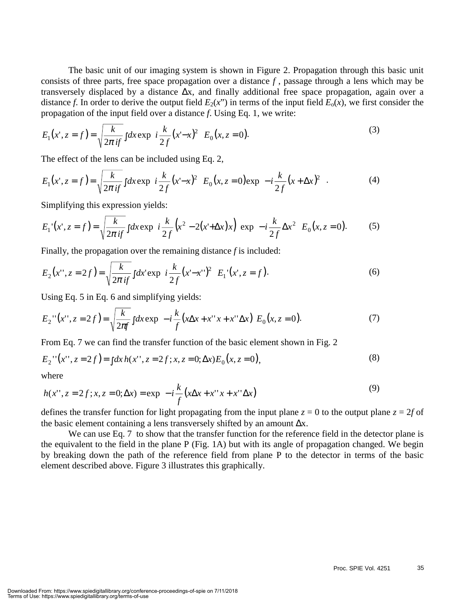The basic unit of our imaging system is shown in Figure 2. Propagation through this basic unit consists of three parts, free space propagation over a distance *f* , passage through a lens which may be transversely displaced by a distance ∆x, and finally additional free space propagation, again over a distance *f*. In order to derive the output field  $E_2(x^{\prime\prime})$  in terms of the input field  $E_0(x)$ , we first consider the propagation of the input field over a distance *f*. Using Eq. 1, we write:

$$
E_1(x', z = f) = \sqrt{\frac{k}{2\pi i f}} \int dx \exp\left\{ i \frac{k}{2f} (x' - x)^2 \right\} E_0(x, z = 0).
$$
 (3)

The effect of the lens can be included using Eq. 2,

$$
E_1(x^*, z = f) = \sqrt{\frac{k}{2\pi i f}} \int dx \exp\left\{ i \frac{k}{2f} (x^* - x)^2 \right\} E_0(x, z = 0) \exp\left\{ -i \frac{k}{2f} (x + \Delta x)^2 \right\}.
$$
 (4)

Simplifying this expression yields:

$$
E_1'(x', z = f) = \sqrt{\frac{k}{2\pi i f}} \int dx \exp\left\{ i \frac{k}{2f} \left( x^2 - 2(x' + \Delta x) x \right) \right\} \exp\left\{ -i \frac{k}{2f} \Delta x^2 \right\} E_0(x, z = 0).
$$
 (5)

Finally, the propagation over the remaining distance *f* is included:

$$
E_2(x'', z = 2f) = \sqrt{\frac{k}{2\pi i f}} \int dx' \exp\left\{ i \frac{k}{2f} (x' - x'')^2 \right\} E_1'(x', z = f).
$$
 (6)

Using Eq. 5 in Eq. 6 and simplifying yields:

$$
E_2''(x'', z = 2f) = \sqrt{\frac{k}{2\pi f}} \int dx \exp\left\{-i\frac{k}{f}(x\Delta x + x''x + x''\Delta x)\right\} E_0(x, z = 0).
$$
 (7)

From Eq. 7 we can find the transfer function of the basic element shown in Fig. 2

$$
E_2''(x'', z = 2f) = \int dx h(x'', z = 2f; x, z = 0; \Delta x) E_0(x, z = 0),
$$
\n(8)

where

$$
h(x'', z = 2f; x, z = 0; \Delta x) = \exp\left\{-i\frac{k}{f}(x\Delta x + x''x + x''\Delta x)\right\}
$$
(9)

defines the transfer function for light propagating from the input plane  $z = 0$  to the output plane  $z = 2f$  of the basic element containing a lens transversely shifted by an amount  $\Delta x$ .

We can use Eq. 7 to show that the transfer function for the reference field in the detector plane is the equivalent to the field in the plane P (Fig. 1A) but with its angle of propagation changed. We begin by breaking down the path of the reference field from plane P to the detector in terms of the basic element described above. Figure 3 illustrates this graphically.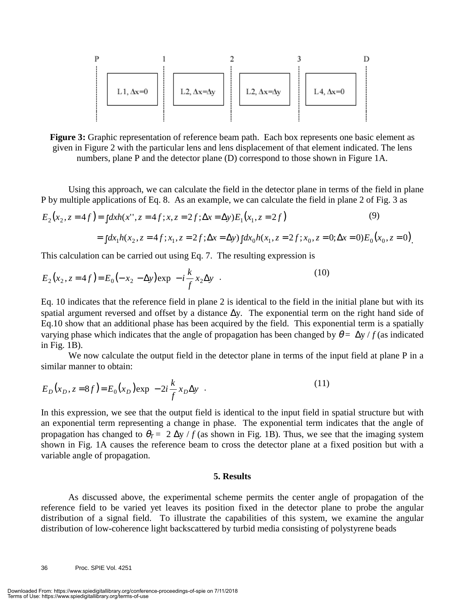

**Figure 3:** Graphic representation of reference beam path. Each box represents one basic element as given in Figure 2 with the particular lens and lens displacement of that element indicated. The lens numbers, plane P and the detector plane (D) correspond to those shown in Figure 1A.

Using this approach, we can calculate the field in the detector plane in terms of the field in plane P by multiple applications of Eq. 8. As an example, we can calculate the field in plane 2 of Fig. 3 as

$$
E_2(x_2, z = 4f) = \int dx h(x'', z = 4f; x, z = 2f; \Delta x = \Delta y) E_1(x_1, z = 2f)
$$
\n(9)

$$
= \int dx_1 h(x_2, z = 4f; x_1, z = 2f; \Delta x = \Delta y) \int dx_0 h(x_1, z = 2f; x_0, z = 0; \Delta x = 0) E_0(x_0, z = 0)
$$

This calculation can be carried out using Eq. 7. The resulting expression is

$$
E_2(x_2, z = 4f) = E_0(-x_2 - \Delta y) \exp\left\{-i\frac{k}{f}x_2\Delta y\right\}.
$$
 (10)

Eq. 10 indicates that the reference field in plane 2 is identical to the field in the initial plane but with its spatial argument reversed and offset by a distance ∆y. The exponential term on the right hand side of Eq.10 show that an additional phase has been acquired by the field. This exponential term is a spatially varying phase which indicates that the angle of propagation has been changed by  $\theta = \Delta y / f$  (as indicated in Fig. 1B).

We now calculate the output field in the detector plane in terms of the input field at plane P in a similar manner to obtain:

$$
E_D(x_D, z = 8f) = E_0(x_D) \exp\{-2i\frac{k}{f}x_D\Delta y\}.
$$
 (11)

In this expression, we see that the output field is identical to the input field in spatial structure but with an exponential term representing a change in phase. The exponential term indicates that the angle of propagation has changed to  $\theta_T = 2 \Delta y / f$  (as shown in Fig. 1B). Thus, we see that the imaging system shown in Fig. 1A causes the reference beam to cross the detector plane at a fixed position but with a variable angle of propagation.

#### **5. Results**

As discussed above, the experimental scheme permits the center angle of propagation of the reference field to be varied yet leaves its position fixed in the detector plane to probe the angular distribution of a signal field. To illustrate the capabilities of this system, we examine the angular distribution of low-coherence light backscattered by turbid media consisting of polystyrene beads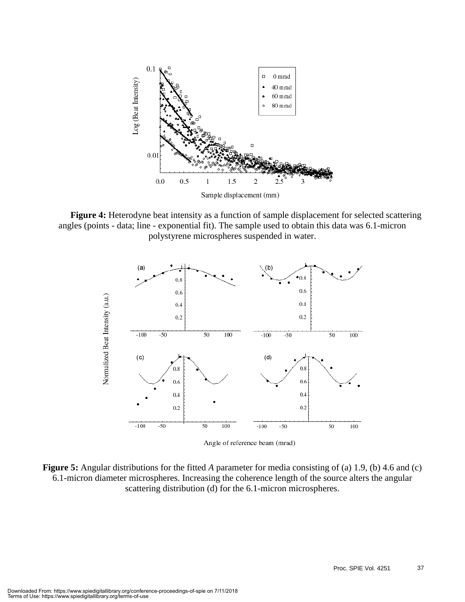

**Figure 4:** Heterodyne beat intensity as a function of sample displacement for selected scattering angles (points - data; line - exponential fit). The sample used to obtain this data was 6.1-micron polystyrene microspheres suspended in water.



Angle of reference beam (mrad)

**Figure 5:** Angular distributions for the fitted *A* parameter for media consisting of (a) 1.9, (b) 4.6 and (c) 6.1-micron diameter microspheres. Increasing the coherence length of the source alters the angular scattering distribution (d) for the 6.1-micron microspheres.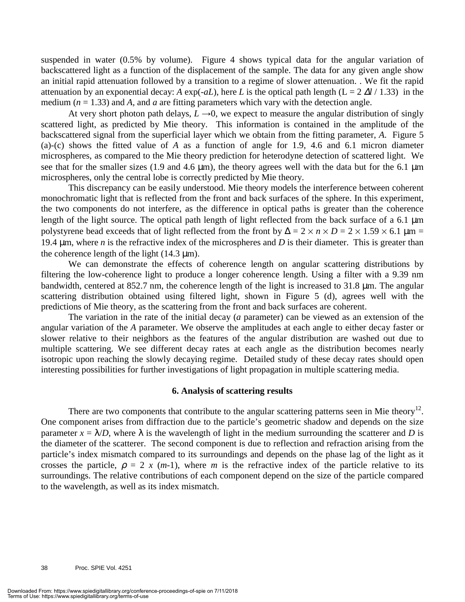suspended in water (0.5% by volume). Figure 4 shows typical data for the angular variation of backscattered light as a function of the displacement of the sample. The data for any given angle show an initial rapid attenuation followed by a transition to a regime of slower attenuation. . We fit the rapid attenuation by an exponential decay: A  $\exp(-aL)$ , here L is the optical path length (L = 2  $\Delta l$  / 1.33) in the medium  $(n = 1.33)$  and *A*, and *a* are fitting parameters which vary with the detection angle.

At very short photon path delays,  $L \rightarrow 0$ , we expect to measure the angular distribution of singly scattered light, as predicted by Mie theory. This information is contained in the amplitude of the backscattered signal from the superficial layer which we obtain from the fitting parameter, *A*. Figure 5 (a)-(c) shows the fitted value of *A* as a function of angle for 1.9, 4.6 and 6.1 micron diameter microspheres, as compared to the Mie theory prediction for heterodyne detection of scattered light. We see that for the smaller sizes (1.9 and 4.6  $\mu$ m), the theory agrees well with the data but for the 6.1  $\mu$ m microspheres, only the central lobe is correctly predicted by Mie theory.

This discrepancy can be easily understood. Mie theory models the interference between coherent monochromatic light that is reflected from the front and back surfaces of the sphere. In this experiment, the two components do not interfere, as the difference in optical paths is greater than the coherence length of the light source. The optical path length of light reflected from the back surface of a 6.1  $\mu$ m polystyrene bead exceeds that of light reflected from the front by  $\Delta = 2 \times n \times D = 2 \times 1.59 \times 6.1 \text{ }\mu\text{m} =$ 19.4 µm, where *n* is the refractive index of the microspheres and *D* is their diameter. This is greater than the coherence length of the light  $(14.3 \text{ µm})$ .

We can demonstrate the effects of coherence length on angular scattering distributions by filtering the low-coherence light to produce a longer coherence length. Using a filter with a 9.39 nm bandwidth, centered at 852.7 nm, the coherence length of the light is increased to 31.8 µm. The angular scattering distribution obtained using filtered light, shown in Figure 5 (d), agrees well with the predictions of Mie theory, as the scattering from the front and back surfaces are coherent.

The variation in the rate of the initial decay (*a* parameter) can be viewed as an extension of the angular variation of the *A* parameter. We observe the amplitudes at each angle to either decay faster or slower relative to their neighbors as the features of the angular distribution are washed out due to multiple scattering. We see different decay rates at each angle as the distribution becomes nearly isotropic upon reaching the slowly decaying regime. Detailed study of these decay rates should open interesting possibilities for further investigations of light propagation in multiple scattering media.

#### **6. Analysis of scattering results**

There are two components that contribute to the angular scattering patterns seen in Mie theory<sup>12</sup>. One component arises from diffraction due to the particle's geometric shadow and depends on the size parameter  $x = \lambda/D$ , where  $\lambda$  is the wavelength of light in the medium surrounding the scatterer and *D* is the diameter of the scatterer. The second component is due to reflection and refraction arising from the particle's index mismatch compared to its surroundings and depends on the phase lag of the light as it crosses the particle,  $\rho = 2 x (m-1)$ , where *m* is the refractive index of the particle relative to its surroundings. The relative contributions of each component depend on the size of the particle compared to the wavelength, as well as its index mismatch.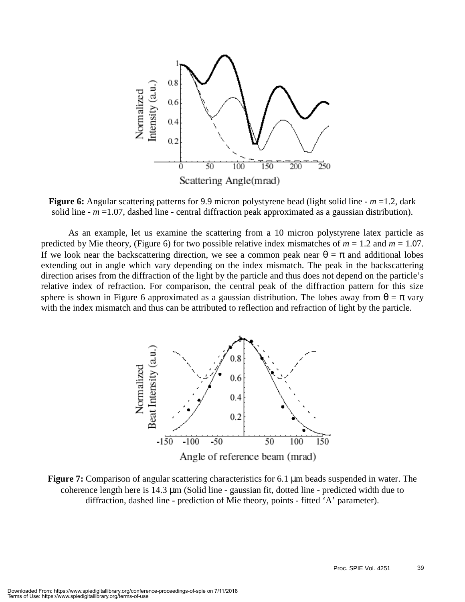

**Figure 6:** Angular scattering patterns for 9.9 micron polystyrene bead (light solid line -  $m = 1.2$ , dark solid line  $-m = 1.07$ , dashed line - central diffraction peak approximated as a gaussian distribution).

As an example, let us examine the scattering from a 10 micron polystyrene latex particle as predicted by Mie theory, (Figure 6) for two possible relative index mismatches of  $m = 1.2$  and  $m = 1.07$ . If we look near the backscattering direction, we see a common peak near  $\theta = \pi$  and additional lobes extending out in angle which vary depending on the index mismatch. The peak in the backscattering direction arises from the diffraction of the light by the particle and thus does not depend on the particle's relative index of refraction. For comparison, the central peak of the diffraction pattern for this size sphere is shown in Figure 6 approximated as a gaussian distribution. The lobes away from  $\theta = \pi$  vary with the index mismatch and thus can be attributed to reflection and refraction of light by the particle.



**Figure 7:** Comparison of angular scattering characteristics for 6.1 µm beads suspended in water. The coherence length here is 14.3 µm (Solid line - gaussian fit, dotted line - predicted width due to diffraction, dashed line - prediction of Mie theory, points - fitted 'A' parameter).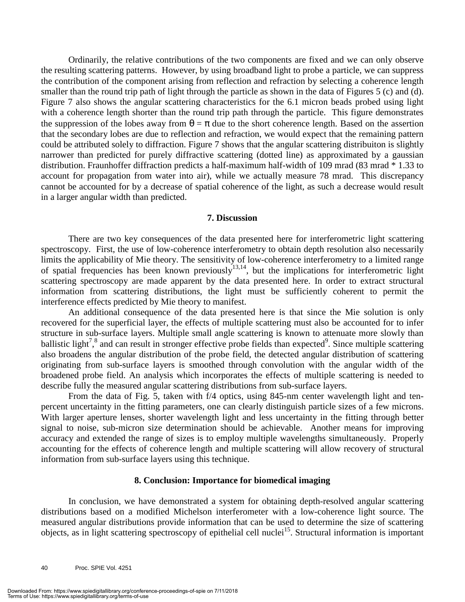Ordinarily, the relative contributions of the two components are fixed and we can only observe the resulting scattering patterns. However, by using broadband light to probe a particle, we can suppress the contribution of the component arising from reflection and refraction by selecting a coherence length smaller than the round trip path of light through the particle as shown in the data of Figures 5 (c) and (d). Figure 7 also shows the angular scattering characteristics for the 6.1 micron beads probed using light with a coherence length shorter than the round trip path through the particle. This figure demonstrates the suppression of the lobes away from  $\theta = \pi$  due to the short coherence length. Based on the assertion that the secondary lobes are due to reflection and refraction, we would expect that the remaining pattern could be attributed solely to diffraction. Figure 7 shows that the angular scattering distribuiton is slightly narrower than predicted for purely diffractive scattering (dotted line) as approximated by a gaussian distribution. Fraunhoffer diffraction predicts a half-maximum half-width of 109 mrad (83 mrad \* 1.33 to account for propagation from water into air), while we actually measure 78 mrad. This discrepancy cannot be accounted for by a decrease of spatial coherence of the light, as such a decrease would result in a larger angular width than predicted.

#### **7. Discussion**

There are two key consequences of the data presented here for interferometric light scattering spectroscopy. First, the use of low-coherence interferometry to obtain depth resolution also necessarily limits the applicability of Mie theory. The sensitivity of low-coherence interferometry to a limited range of spatial frequencies has been known previously<sup>13,14</sup>, but the implications for interferometric light scattering spectroscopy are made apparent by the data presented here. In order to extract structural information from scattering distributions, the light must be sufficiently coherent to permit the interference effects predicted by Mie theory to manifest.

An additional consequence of the data presented here is that since the Mie solution is only recovered for the superficial layer, the effects of multiple scattering must also be accounted for to infer structure in sub-surface layers. Multiple small angle scattering is known to attenuate more slowly than ballistic light<sup>7</sup>,<sup>8</sup> and can result in stronger effective probe fields than expected<sup>9</sup>. Since multiple scattering also broadens the angular distribution of the probe field, the detected angular distribution of scattering originating from sub-surface layers is smoothed through convolution with the angular width of the broadened probe field. An analysis which incorporates the effects of multiple scattering is needed to describe fully the measured angular scattering distributions from sub-surface layers.

From the data of Fig. 5, taken with f/4 optics, using 845-nm center wavelength light and tenpercent uncertainty in the fitting parameters, one can clearly distinguish particle sizes of a few microns. With larger aperture lenses, shorter wavelength light and less uncertainty in the fitting through better signal to noise, sub-micron size determination should be achievable. Another means for improving accuracy and extended the range of sizes is to employ multiple wavelengths simultaneously. Properly accounting for the effects of coherence length and multiple scattering will allow recovery of structural information from sub-surface layers using this technique.

#### **8. Conclusion: Importance for biomedical imaging**

In conclusion, we have demonstrated a system for obtaining depth-resolved angular scattering distributions based on a modified Michelson interferometer with a low-coherence light source. The measured angular distributions provide information that can be used to determine the size of scattering objects, as in light scattering spectroscopy of epithelial cell nuclei<sup>15</sup>. Structural information is important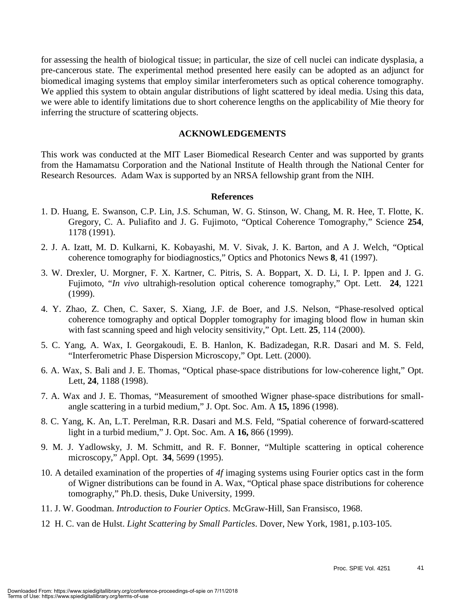for assessing the health of biological tissue; in particular, the size of cell nuclei can indicate dysplasia, a pre-cancerous state. The experimental method presented here easily can be adopted as an adjunct for biomedical imaging systems that employ similar interferometers such as optical coherence tomography. We applied this system to obtain angular distributions of light scattered by ideal media. Using this data, we were able to identify limitations due to short coherence lengths on the applicability of Mie theory for inferring the structure of scattering objects.

#### **ACKNOWLEDGEMENTS**

This work was conducted at the MIT Laser Biomedical Research Center and was supported by grants from the Hamamatsu Corporation and the National Institute of Health through the National Center for Research Resources. Adam Wax is supported by an NRSA fellowship grant from the NIH.

#### **References**

- 1. D. Huang, E. Swanson, C.P. Lin, J.S. Schuman, W. G. Stinson, W. Chang, M. R. Hee, T. Flotte, K. Gregory, C. A. Puliafito and J. G. Fujimoto, "Optical Coherence Tomography," Science **254**, 1178 (1991).
- 2. J. A. Izatt, M. D. Kulkarni, K. Kobayashi, M. V. Sivak, J. K. Barton, and A J. Welch, "Optical coherence tomography for biodiagnostics," Optics and Photonics News **8**, 41 (1997).
- 3. W. Drexler, U. Morgner, F. X. Kartner, C. Pitris, S. A. Boppart, X. D. Li, I. P. Ippen and J. G. Fujimoto, "*In vivo* ultrahigh-resolution optical coherence tomography," Opt. Lett. **24**, 1221 (1999).
- 4. Y. Zhao, Z. Chen, C. Saxer, S. Xiang, J.F. de Boer, and J.S. Nelson, "Phase-resolved optical coherence tomography and optical Doppler tomography for imaging blood flow in human skin with fast scanning speed and high velocity sensitivity," Opt. Lett. **25**, 114 (2000).
- 5. C. Yang, A. Wax, I. Georgakoudi, E. B. Hanlon, K. Badizadegan, R.R. Dasari and M. S. Feld, "Interferometric Phase Dispersion Microscopy," Opt. Lett. (2000).
- 6. A. Wax, S. Bali and J. E. Thomas, "Optical phase-space distributions for low-coherence light," Opt. Lett, **24**, 1188 (1998).
- 7. A. Wax and J. E. Thomas, "Measurement of smoothed Wigner phase-space distributions for smallangle scattering in a turbid medium," J. Opt. Soc. Am. A **15,** 1896 (1998).
- 8. C. Yang, K. An, L.T. Perelman, R.R. Dasari and M.S. Feld, "Spatial coherence of forward-scattered light in a turbid medium," J. Opt. Soc. Am. A **16,** 866 (1999).
- 9. M. J. Yadlowsky, J. M. Schmitt, and R. F. Bonner, "Multiple scattering in optical coherence microscopy," Appl. Opt. **34**, 5699 (1995).
- 10. A detailed examination of the properties of *4f* imaging systems using Fourier optics cast in the form of Wigner distributions can be found in A. Wax, "Optical phase space distributions for coherence tomography," Ph.D. thesis, Duke University, 1999.
- 11. J. W. Goodman. *Introduction to Fourier Optics*. McGraw-Hill, San Fransisco, 1968.
- 12 H. C. van de Hulst. *Light Scattering by Small Particles*. Dover, New York, 1981, p.103-105.